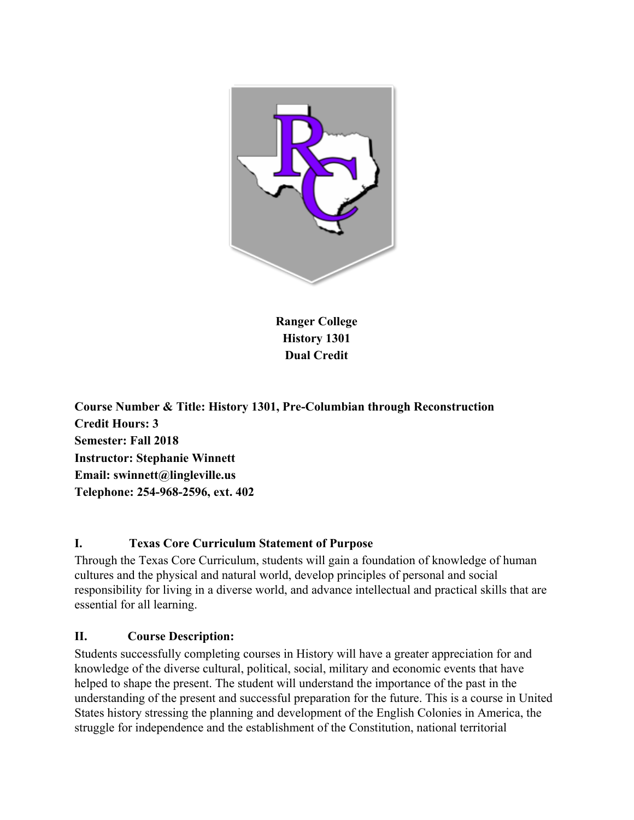

**Ranger College History 1301 Dual Credit**

**Course Number & Title: History 1301, Pre-Columbian through Reconstruction Credit Hours: 3 Semester: Fall 2018 Instructor: Stephanie Winnett Email: swinnett@lingleville.us Telephone: 254-968-2596, ext. 402**

### **I. Texas Core Curriculum Statement of Purpose**

Through the Texas Core Curriculum, students will gain a foundation of knowledge of human cultures and the physical and natural world, develop principles of personal and social responsibility for living in a diverse world, and advance intellectual and practical skills that are essential for all learning.

### **II. Course Description:**

Students successfully completing courses in History will have a greater appreciation for and knowledge of the diverse cultural, political, social, military and economic events that have helped to shape the present. The student will understand the importance of the past in the understanding of the present and successful preparation for the future. This is a course in United States history stressing the planning and development of the English Colonies in America, the struggle for independence and the establishment of the Constitution, national territorial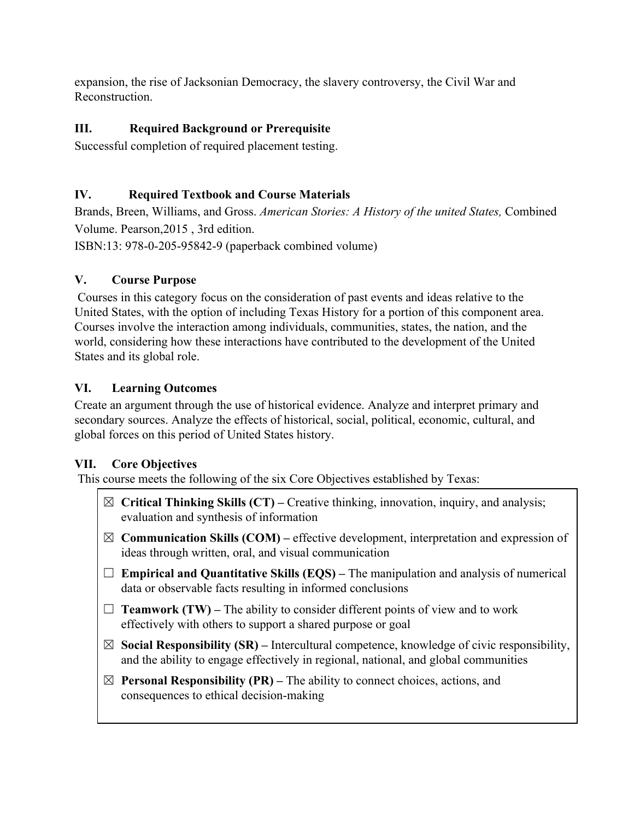expansion, the rise of Jacksonian Democracy, the slavery controversy, the Civil War and Reconstruction.

# **III. Required Background or Prerequisite**

Successful completion of required placement testing.

## **IV. Required Textbook and Course Materials**

Brands, Breen, Williams, and Gross. *American Stories: A History of the united States,* Combined Volume. Pearson,2015 , 3rd edition.

ISBN:13: 978-0-205-95842-9 (paperback combined volume)

## **V. Course Purpose**

 Courses in this category focus on the consideration of past events and ideas relative to the United States, with the option of including Texas History for a portion of this component area. Courses involve the interaction among individuals, communities, states, the nation, and the world, considering how these interactions have contributed to the development of the United States and its global role.

## **VI. Learning Outcomes**

Create an argument through the use of historical evidence. Analyze and interpret primary and secondary sources. Analyze the effects of historical, social, political, economic, cultural, and global forces on this period of United States history.

## **VII. Core Objectives**

This course meets the following of the six Core Objectives established by Texas:

- ☒ **Critical Thinking Skills (CT)** Creative thinking, innovation, inquiry, and analysis; evaluation and synthesis of information
- ☒ **Communication Skills (COM)** effective development, interpretation and expression of ideas through written, oral, and visual communication
- $\Box$  **Empirical and Quantitative Skills (EQS)** The manipulation and analysis of numerical data or observable facts resulting in informed conclusions
- $\Box$  **Teamwork (TW)** The ability to consider different points of view and to work effectively with others to support a shared purpose or goal
- $\boxtimes$  **Social Responsibility (SR)** Intercultural competence, knowledge of civic responsibility, and the ability to engage effectively in regional, national, and global communities
- $\boxtimes$  **Personal Responsibility (PR)** The ability to connect choices, actions, and consequences to ethical decision-making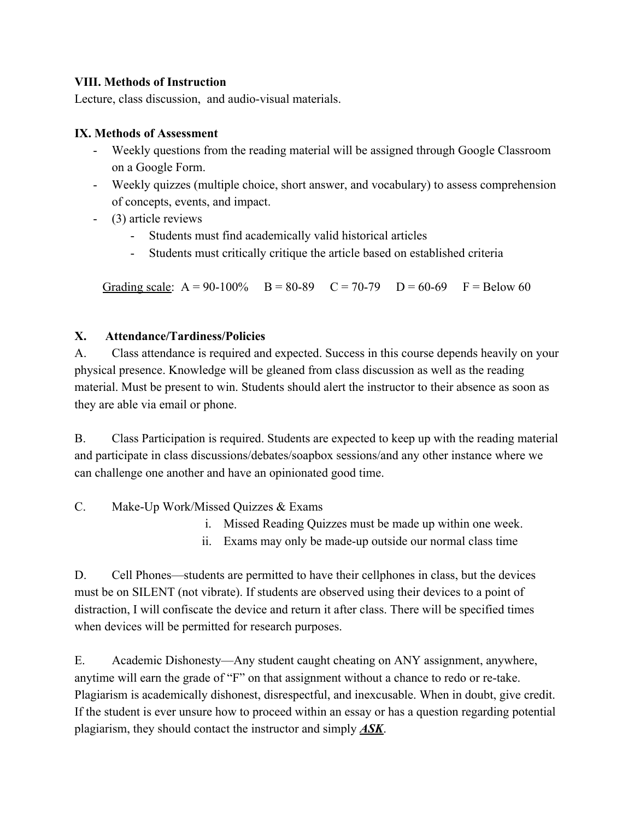### **VIII. Methods of Instruction**

Lecture, class discussion, and audio-visual materials.

### **IX. Methods of Assessment**

- Weekly questions from the reading material will be assigned through Google Classroom on a Google Form.
- Weekly quizzes (multiple choice, short answer, and vocabulary) to assess comprehension of concepts, events, and impact.
- (3) article reviews
	- Students must find academically valid historical articles
	- Students must critically critique the article based on established criteria

Grading scale:  $A = 90-100\%$  B = 80-89 C = 70-79 D = 60-69 F = Below 60

### **X. Attendance/Tardiness/Policies**

A. Class attendance is required and expected. Success in this course depends heavily on your physical presence. Knowledge will be gleaned from class discussion as well as the reading material. Must be present to win. Students should alert the instructor to their absence as soon as they are able via email or phone.

B. Class Participation is required. Students are expected to keep up with the reading material and participate in class discussions/debates/soapbox sessions/and any other instance where we can challenge one another and have an opinionated good time.

C. Make-Up Work/Missed Quizzes & Exams

- i. Missed Reading Quizzes must be made up within one week.
- ii. Exams may only be made-up outside our normal class time

D. Cell Phones—students are permitted to have their cellphones in class, but the devices must be on SILENT (not vibrate). If students are observed using their devices to a point of distraction, I will confiscate the device and return it after class. There will be specified times when devices will be permitted for research purposes.

E. Academic Dishonesty—Any student caught cheating on ANY assignment, anywhere, anytime will earn the grade of "F" on that assignment without a chance to redo or re-take. Plagiarism is academically dishonest, disrespectful, and inexcusable. When in doubt, give credit. If the student is ever unsure how to proceed within an essay or has a question regarding potential plagiarism, they should contact the instructor and simply *ASK*.